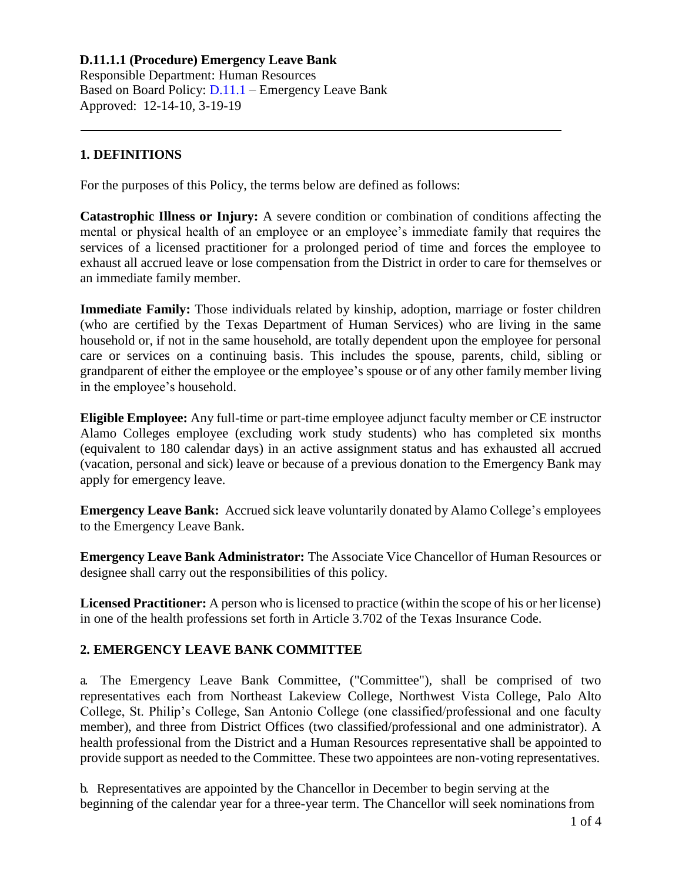Responsible Department: Human Resources Based on Board Policy: [D.11.1](https://www.alamo.edu/siteassets/district/about-us/leadership/board-of-trustees/policies-pdfs/section-d/d.11.1-policy.pdf) – Emergency Leave Bank Approved: 12-14-10, 3-19-19

#### **1. DEFINITIONS**

For the purposes of this Policy, the terms below are defined as follows:

**Catastrophic Illness or Injury:** A severe condition or combination of conditions affecting the mental or physical health of an employee or an employee's immediate family that requires the services of a licensed practitioner for a prolonged period of time and forces the employee to exhaust all accrued leave or lose compensation from the District in order to care for themselves or an immediate family member.

**Immediate Family:** Those individuals related by kinship, adoption, marriage or foster children (who are certified by the Texas Department of Human Services) who are living in the same household or, if not in the same household, are totally dependent upon the employee for personal care or services on a continuing basis. This includes the spouse, parents, child, sibling or grandparent of either the employee or the employee's spouse or of any other family member living in the employee's household.

**Eligible Employee:** Any full-time or part-time employee adjunct faculty member or CE instructor Alamo Colleges employee (excluding work study students) who has completed six months (equivalent to 180 calendar days) in an active assignment status and has exhausted all accrued (vacation, personal and sick) leave or because of a previous donation to the Emergency Bank may apply for emergency leave.

**Emergency Leave Bank:** Accrued sick leave voluntarily donated by Alamo College's employees to the Emergency Leave Bank.

**Emergency Leave Bank Administrator:** The Associate Vice Chancellor of Human Resources or designee shall carry out the responsibilities of this policy.

**Licensed Practitioner:** A person who is licensed to practice (within the scope of his or her license) in one of the health professions set forth in Article 3.702 of the Texas Insurance Code.

## **2. EMERGENCY LEAVE BANK COMMITTEE**

a. The Emergency Leave Bank Committee, ("Committee"), shall be comprised of two representatives each from Northeast Lakeview College, Northwest Vista College, Palo Alto College, St. Philip's College, San Antonio College (one classified/professional and one faculty member), and three from District Offices (two classified/professional and one administrator). A health professional from the District and a Human Resources representative shall be appointed to provide support as needed to the Committee. These two appointees are non-voting representatives.

b. Representatives are appointed by the Chancellor in December to begin serving at the beginning of the calendar year for a three-year term. The Chancellor will seek nominations from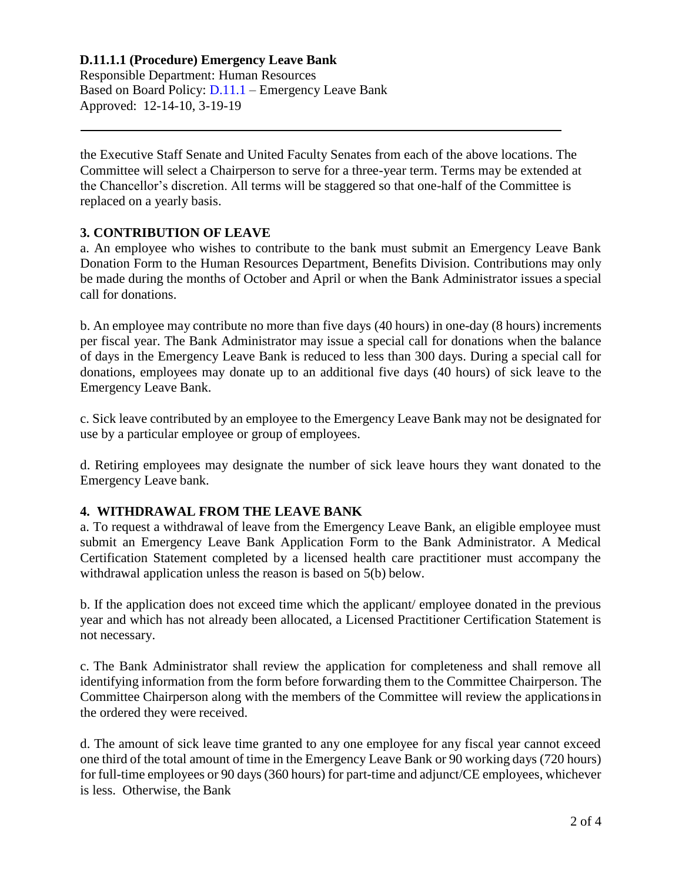Responsible Department: Human Resources Based on Board Policy: [D.11.1](https://www.alamo.edu/siteassets/district/about-us/leadership/board-of-trustees/policies-pdfs/section-d/d.11.1-policy.pdf) – Emergency Leave Bank Approved: 12-14-10, 3-19-19

the Executive Staff Senate and United Faculty Senates from each of the above locations. The Committee will select a Chairperson to serve for a three-year term. Terms may be extended at the Chancellor's discretion. All terms will be staggered so that one-half of the Committee is replaced on a yearly basis.

## **3. CONTRIBUTION OF LEAVE**

a. An employee who wishes to contribute to the bank must submit an Emergency Leave Bank Donation Form to the Human Resources Department, Benefits Division. Contributions may only be made during the months of October and April or when the Bank Administrator issues a special call for donations.

b. An employee may contribute no more than five days (40 hours) in one-day (8 hours) increments per fiscal year. The Bank Administrator may issue a special call for donations when the balance of days in the Emergency Leave Bank is reduced to less than 300 days. During a special call for donations, employees may donate up to an additional five days (40 hours) of sick leave to the Emergency Leave Bank.

c. Sick leave contributed by an employee to the Emergency Leave Bank may not be designated for use by a particular employee or group of employees.

d. Retiring employees may designate the number of sick leave hours they want donated to the Emergency Leave bank.

## **4. WITHDRAWAL FROM THE LEAVE BANK**

a. To request a withdrawal of leave from the Emergency Leave Bank, an eligible employee must submit an Emergency Leave Bank Application Form to the Bank Administrator. A Medical Certification Statement completed by a licensed health care practitioner must accompany the withdrawal application unless the reason is based on 5(b) below.

b. If the application does not exceed time which the applicant/ employee donated in the previous year and which has not already been allocated, a Licensed Practitioner Certification Statement is not necessary.

c. The Bank Administrator shall review the application for completeness and shall remove all identifying information from the form before forwarding them to the Committee Chairperson. The Committee Chairperson along with the members of the Committee will review the applicationsin the ordered they were received.

d. The amount of sick leave time granted to any one employee for any fiscal year cannot exceed one third of the total amount of time in the Emergency Leave Bank or 90 working days (720 hours) for full-time employees or 90 days (360 hours) for part-time and adjunct/CE employees, whichever is less. Otherwise, the Bank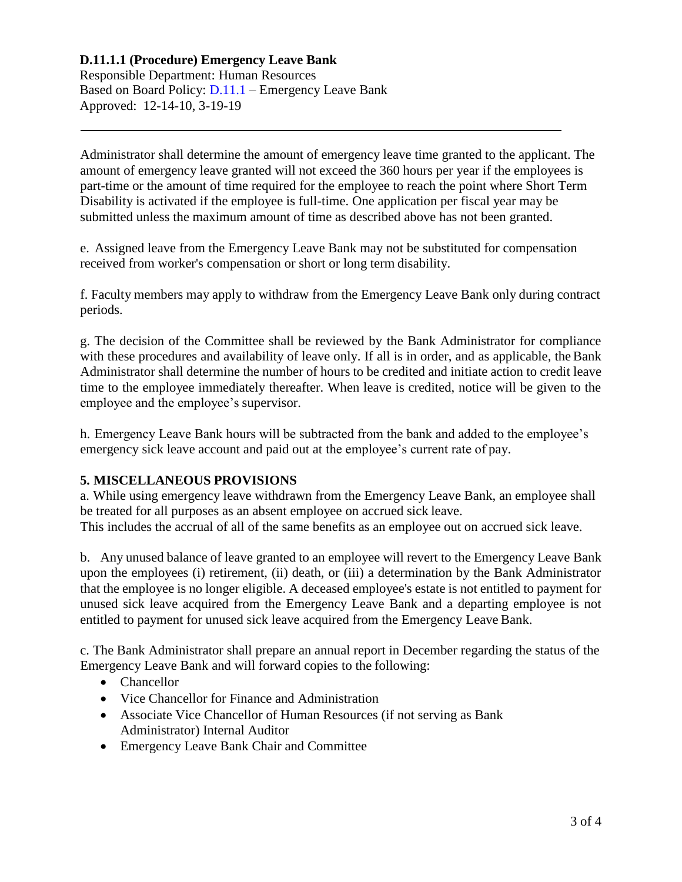Responsible Department: Human Resources Based on Board Policy: [D.11.1](https://www.alamo.edu/siteassets/district/about-us/leadership/board-of-trustees/policies-pdfs/section-d/d.11.1-policy.pdf) – Emergency Leave Bank Approved: 12-14-10, 3-19-19

Administrator shall determine the amount of emergency leave time granted to the applicant. The amount of emergency leave granted will not exceed the 360 hours per year if the employees is part-time or the amount of time required for the employee to reach the point where Short Term Disability is activated if the employee is full-time. One application per fiscal year may be submitted unless the maximum amount of time as described above has not been granted.

e. Assigned leave from the Emergency Leave Bank may not be substituted for compensation received from worker's compensation or short or long term disability.

f. Faculty members may apply to withdraw from the Emergency Leave Bank only during contract periods.

g. The decision of the Committee shall be reviewed by the Bank Administrator for compliance with these procedures and availability of leave only. If all is in order, and as applicable, the Bank Administrator shall determine the number of hours to be credited and initiate action to credit leave time to the employee immediately thereafter. When leave is credited, notice will be given to the employee and the employee's supervisor.

h. Emergency Leave Bank hours will be subtracted from the bank and added to the employee's emergency sick leave account and paid out at the employee's current rate of pay.

## **5. MISCELLANEOUS PROVISIONS**

a. While using emergency leave withdrawn from the Emergency Leave Bank, an employee shall be treated for all purposes as an absent employee on accrued sick leave. This includes the accrual of all of the same benefits as an employee out on accrued sick leave.

b. Any unused balance of leave granted to an employee will revert to the Emergency Leave Bank upon the employees (i) retirement, (ii) death, or (iii) a determination by the Bank Administrator that the employee is no longer eligible. A deceased employee's estate is not entitled to payment for unused sick leave acquired from the Emergency Leave Bank and a departing employee is not entitled to payment for unused sick leave acquired from the Emergency Leave Bank.

c. The Bank Administrator shall prepare an annual report in December regarding the status of the Emergency Leave Bank and will forward copies to the following:

- Chancellor
- Vice Chancellor for Finance and Administration
- Associate Vice Chancellor of Human Resources (if not serving as Bank Administrator) Internal Auditor
- Emergency Leave Bank Chair and Committee